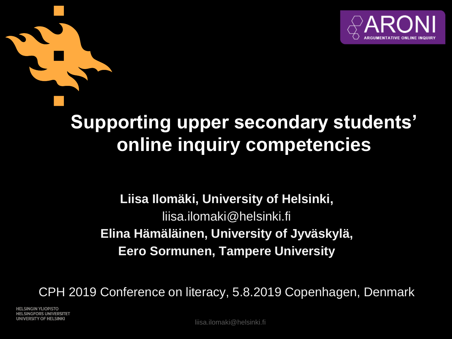

## **Supporting upper secondary students' online inquiry competencies**

#### **Liisa Ilomäki, University of Helsinki,**  liisa.ilomaki@helsinki.fi **Elina Hämäläinen, University of Jyväskylä, Eero Sormunen, Tampere University**

CPH 2019 Conference on literacy, 5.8.2019 Copenhagen, Denmark

**HELSINGIN YLIOPISTO HELSINGFORS UNIVERSITET** UNIVERSITY OF HELSINKI

liisa.ilomaki@helsinki.fi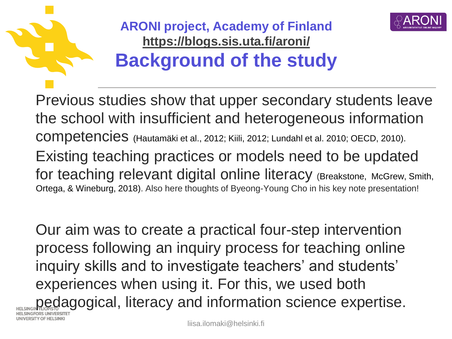



**ARONI project, Academy of Finland <https://blogs.sis.uta.fi/aroni/> Background of the study**

Previous studies show that upper secondary students leave the school with insufficient and heterogeneous information competencies (Hautamäki et al., 2012; Kiili, 2012; Lundahl et al. 2010; OECD, 2010). Existing teaching practices or models need to be updated for teaching relevant digital online literacy (Breakstone, McGrew, Smith, Ortega, & Wineburg, 2018). Also here thoughts of Byeong-Young Cho in his key note presentation!

Our aim was to create a practical four-step intervention process following an inquiry process for teaching online inquiry skills and to investigate teachers' and students' experiences when using it. For this, we used both pedagogical, literacy and information science expertise. NIVERSITY OF HELSINK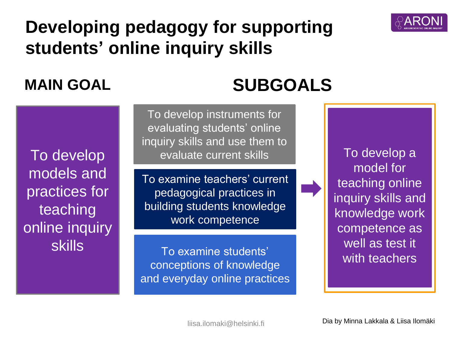

## **Developing pedagogy for supporting students' online inquiry skills**

## **MAIN GOAL SUBGOALS**

To develop models and practices for teaching online inquiry skills

To develop instruments for evaluating students' online inquiry skills and use them to evaluate current skills

To examine teachers' current pedagogical practices in building students knowledge work competence

To examine students' conceptions of knowledge and everyday online practices

To develop a model for teaching online inquiry skills and knowledge work competence as well as test it with teachers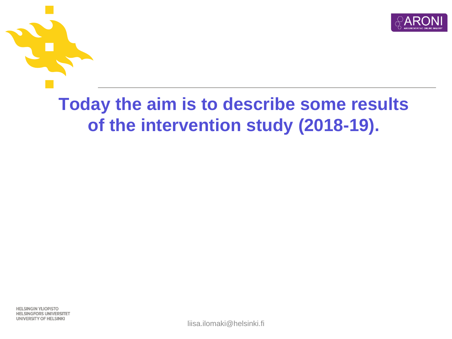

## **Today the aim is to describe some results of the intervention study (2018-19).**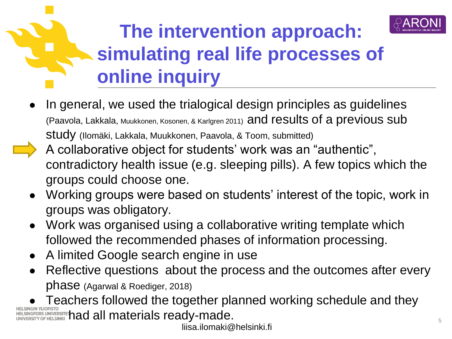

## **The intervention approach: simulating real life processes of online inquiry**

- In general, we used the trialogical design principles as guidelines (Paavola, Lakkala, Muukkonen, Kosonen, & Karlgren 2011) and results of a previous sub study (Ilomäki, Lakkala, Muukkonen, Paavola, & Toom, submitted)
- A collaborative object for students' work was an "authentic", contradictory health issue (e.g. sleeping pills). A few topics which the groups could choose one.
- Working groups were based on students' interest of the topic, work in groups was obligatory.
- Work was organised using a collaborative writing template which followed the recommended phases of information processing.
- A limited Google search engine in use
- Reflective questions about the process and the outcomes after every phase (Agarwal & Roediger, 2018)

Teachers followed the together planned working schedule and they  $\frac{1}{\sqrt{100} \text{ N}}$  and  $\frac{1}{\sqrt{100} \text{ N}}$  and  $\frac{1}{\sqrt{100} \text{ N}}$  and  $\frac{1}{\sqrt{100} \text{ N}}$  and  $\frac{1}{\sqrt{100} \text{ N}}$  and  $\frac{1}{\sqrt{100} \text{ N}}$  and  $\frac{1}{\sqrt{100} \text{ N}}$  and  $\frac{1}{\sqrt{100} \text{ N}}$  and  $\frac{1}{\sqrt{100} \text{ N}}$  and  $\frac{1$ 

liisa.ilomaki@helsinki.fi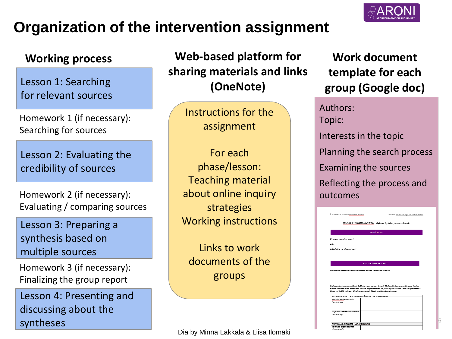### **Organization of the intervention assignment**



Lesson 1: Searching for relevant sources

Homework 1 (if necessary): Searching for sources

Lesson 2: Evaluating the credibility of sources

Homework 2 (if necessary): Evaluating / comparing sources

Lesson 3: Preparing a synthesis based on multiple sources

Homework 3 (if necessary): Finalizing the group report

Lesson 4: Presenting and discussing about the syntheses

Working process **Web-based platform for** Work document **sharing materials and links (OneNote)**

> Instructions for the assignment

For each phase/lesson: Teaching material about online inquiry strategies Working instructions

Links to work documents of the groups

Dia by Minna Lakkala & Liisa Ilomäki

## **template for each group (Google doc)**

Authors: Topic: Interests in the topic Planning the search process Examining the sources Reflecting the process and outcomes



6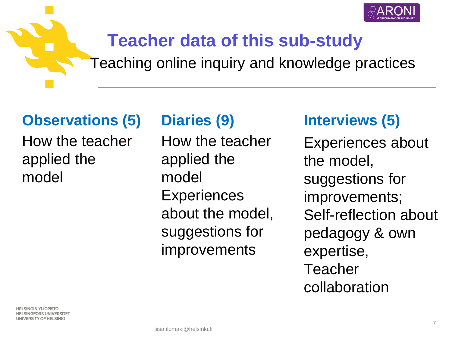

## **Teacher data of this sub-study**

Teaching online inquiry and knowledge practices

### **Observations (5) Diaries (9) Interviews (5)**

How the teacher applied the model

How the teacher applied the model **Experiences** about the model, suggestions for improvements

Experiences about the model, suggestions for improvements; Self-reflection about pedagogy & own expertise, Teacher collaboration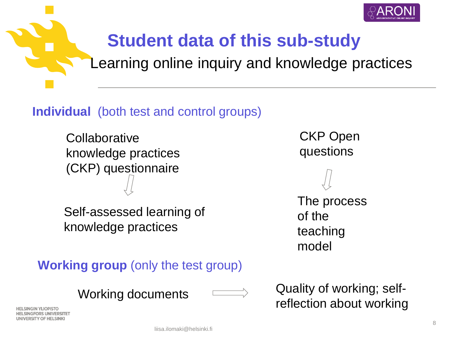

## **Student data of this sub-study**

Learning online inquiry and knowledge practices

#### **Individual** (both test and control groups)

**Collaborative** knowledge practices (CKP) questionnaire

Self-assessed learning of knowledge practices

**Working group** (only the test group)

Working documents

Quality of working; selfreflection about working

CKP Open

The process

of the

model

teaching

questions

IGIN YLIOPISTO **ELSINGFORS UNIVERSITET** JNIVERSITY OF HELSINKI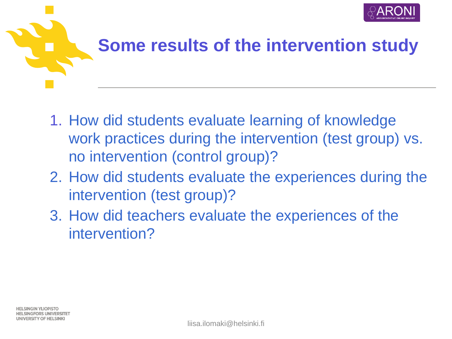

## **Some results of the intervention study**

- 1. How did students evaluate learning of knowledge work practices during the intervention (test group) vs. no intervention (control group)?
- 2. How did students evaluate the experiences during the intervention (test group)?
- 3. How did teachers evaluate the experiences of the intervention?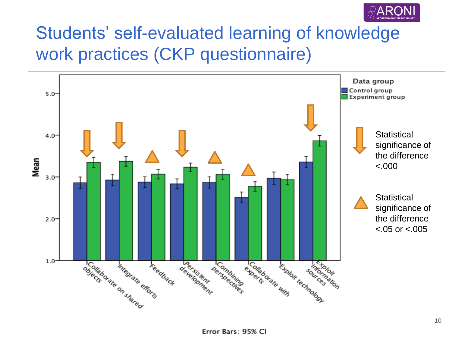

## Students' self-evaluated learning of knowledge work practices (CKP questionnaire)

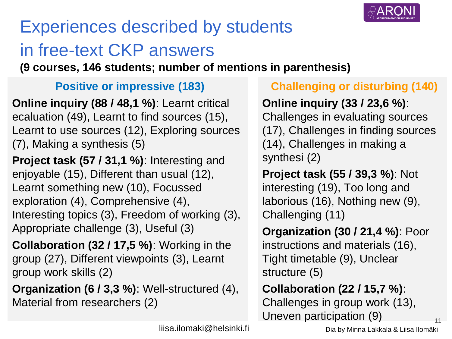

## Experiences described by students in free-text CKP answers

**(9 courses, 146 students; number of mentions in parenthesis)**

#### **Positive or impressive (183)**

**Online inquiry (88 / 48,1 %)**: Learnt critical ecaluation (49), Learnt to find sources (15), Learnt to use sources (12), Exploring sources (7), Making a synthesis (5)

**Project task (57 / 31,1 %)**: Interesting and enjoyable (15), Different than usual (12), Learnt something new (10), Focussed exploration (4), Comprehensive (4), Interesting topics (3), Freedom of working (3), Appropriate challenge (3), Useful (3)

**Collaboration (32 / 17,5 %)**: Working in the group (27), Different viewpoints (3), Learnt group work skills (2)

**Organization (6 / 3,3 %)**: Well-structured (4), Material from researchers (2)

#### **Challenging or disturbing (140)**

#### **Online inquiry (33 / 23,6 %)**:

Challenges in evaluating sources (17), Challenges in finding sources (14), Challenges in making a synthesi (2)

**Project task (55 / 39,3 %)**: Not interesting (19), Too long and laborious (16), Nothing new (9), Challenging (11)

**Organization (30 / 21,4 %)**: Poor instructions and materials (16), Tight timetable (9), Unclear structure (5)

### **Collaboration (22 / 15,7 %)**:

Challenges in group work (13), Uneven participation  $(9)$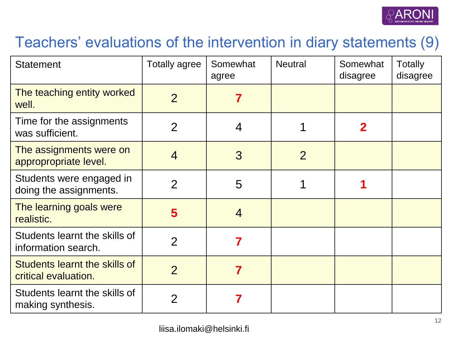

### Teachers' evaluations of the intervention in diary statements (9)

| <b>Statement</b>                                      | <b>Totally agree</b> | Somewhat<br>agree | <b>Neutral</b> | Somewhat<br>disagree | <b>Totally</b><br>disagree |
|-------------------------------------------------------|----------------------|-------------------|----------------|----------------------|----------------------------|
| The teaching entity worked<br>well.                   | $\overline{2}$       | 7                 |                |                      |                            |
| Time for the assignments<br>was sufficient.           | $\overline{2}$       | 4                 |                | $\mathbf 2$          |                            |
| The assignments were on<br>appropropriate level.      | $\overline{4}$       | 3                 | $\overline{2}$ |                      |                            |
| Students were engaged in<br>doing the assignments.    | $\overline{2}$       | 5                 |                |                      |                            |
| The learning goals were<br>realistic.                 | 5                    | $\overline{4}$    |                |                      |                            |
| Students learnt the skills of<br>information search.  | $\overline{2}$       | 7                 |                |                      |                            |
| Students learnt the skills of<br>critical evaluation. | $\overline{2}$       | 7                 |                |                      |                            |
| Students learnt the skills of<br>making synthesis.    | $\overline{2}$       |                   |                |                      |                            |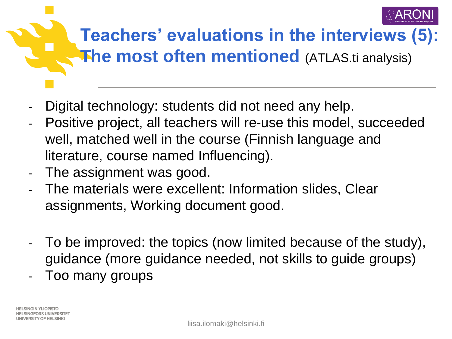

## **Teachers' evaluations in the interviews (5): The most often mentioned** (ATLAS.ti analysis)

- Digital technology: students did not need any help.
- Positive project, all teachers will re-use this model, succeeded well, matched well in the course (Finnish language and literature, course named Influencing).
- The assignment was good.
- The materials were excellent: Information slides, Clear assignments, Working document good.
- To be improved: the topics (now limited because of the study), guidance (more guidance needed, not skills to guide groups)
- Too many groups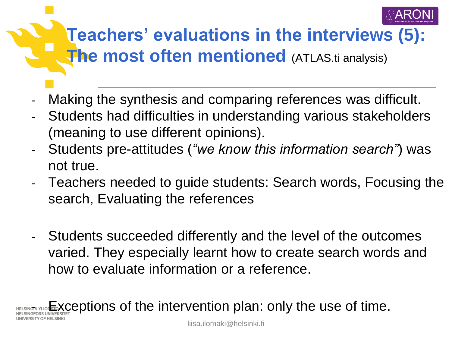

## **Teachers' evaluations in the interviews (5): The most often mentioned** (ATLAS.ti analysis)

- Making the synthesis and comparing references was difficult.
- Students had difficulties in understanding various stakeholders (meaning to use different opinions).
- Students pre-attitudes (*"we know this information search"*) was not true.
- Teachers needed to guide students: Search words, Focusing the search, Evaluating the references
- Students succeeded differently and the level of the outcomes varied. They especially learnt how to create search words and how to evaluate information or a reference.

**Exceptions of the intervention plan: only the use of time.**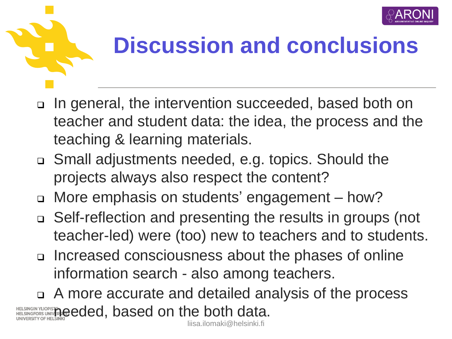



# **Discussion and conclusions**

- In general, the intervention succeeded, based both on teacher and student data: the idea, the process and the teaching & learning materials.
- Small adjustments needed, e.g. topics. Should the projects always also respect the content?
- More emphasis on students' engagement how?
- Self-reflection and presenting the results in groups (not teacher-led) were (too) new to teachers and to students.
- Increased consciousness about the phases of online information search - also among teachers.

 A more accurate and detailed analysis of the process HELSINGIN YLIOPISTOR UNIVER **Deceded on the both data.** 

liisa.ilomaki@helsinki.fi